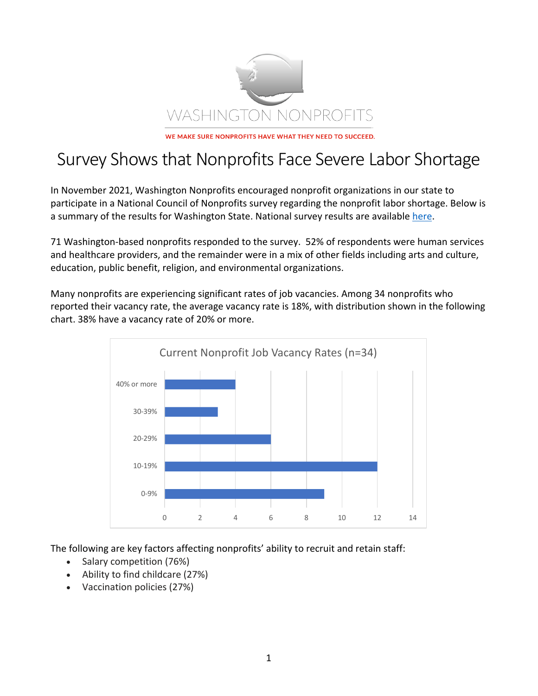

## Survey Shows that Nonprofits Face Severe Labor Shortage

In November 2021, Washington Nonprofits encouraged nonprofit organizations in our state to participate in a National Council of Nonprofits survey regarding the nonprofit labor shortage. Below is a summary of the results for Washington State. National survey results are available here.

71 Washington-based nonprofits responded to the survey. 52% of respondents were human services and healthcare providers, and the remainder were in a mix of other fields including arts and culture, education, public benefit, religion, and environmental organizations.

Many nonprofits are experiencing significant rates of job vacancies. Among 34 nonprofits who reported their vacancy rate, the average vacancy rate is 18%, with distribution shown in the following chart. 38% have a vacancy rate of 20% or more.



The following are key factors affecting nonprofits' ability to recruit and retain staff:

- Salary competition (76%)
- Ability to find childcare (27%)
- Vaccination policies (27%)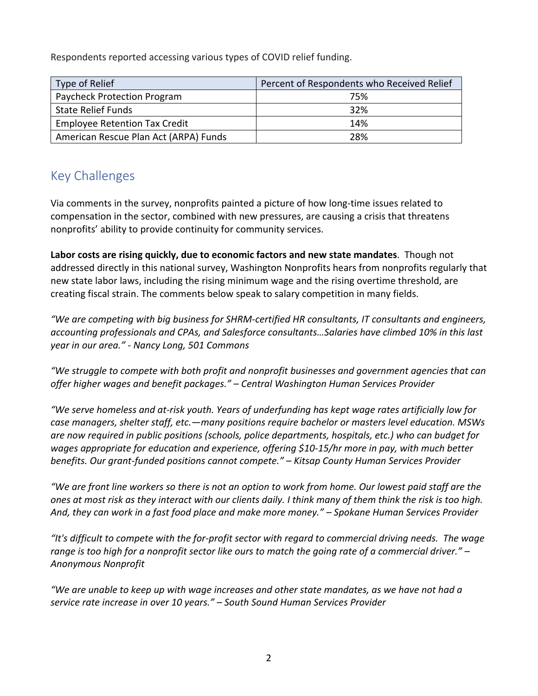Respondents reported accessing various types of COVID relief funding.

| Type of Relief                        | Percent of Respondents who Received Relief |
|---------------------------------------|--------------------------------------------|
| Paycheck Protection Program           | 75%                                        |
| <b>State Relief Funds</b>             | 32%                                        |
| <b>Employee Retention Tax Credit</b>  | 14%                                        |
| American Rescue Plan Act (ARPA) Funds | 28%                                        |

## Key Challenges

Via comments in the survey, nonprofits painted a picture of how long-time issues related to compensation in the sector, combined with new pressures, are causing a crisis that threatens nonprofits' ability to provide continuity for community services.

**Labor costs are rising quickly, due to economic factors and new state mandates**. Though not addressed directly in this national survey, Washington Nonprofits hears from nonprofits regularly that new state labor laws, including the rising minimum wage and the rising overtime threshold, are creating fiscal strain. The comments below speak to salary competition in many fields.

*"We are competing with big business for SHRM-certified HR consultants, IT consultants and engineers, accounting professionals and CPAs, and Salesforce consultants…Salaries have climbed 10% in this last year in our area." - Nancy Long, 501 Commons*

*"We struggle to compete with both profit and nonprofit businesses and government agencies that can offer higher wages and benefit packages." – Central Washington Human Services Provider*

*"We serve homeless and at-risk youth. Years of underfunding has kept wage rates artificially low for case managers, shelter staff, etc.—many positions require bachelor or masters level education. MSWs are now required in public positions (schools, police departments, hospitals, etc.) who can budget for wages appropriate for education and experience, offering \$10-15/hr more in pay, with much better benefits. Our grant-funded positions cannot compete." – Kitsap County Human Services Provider*

*"We are front line workers so there is not an option to work from home. Our lowest paid staff are the ones at most risk as they interact with our clients daily. I think many of them think the risk is too high. And, they can work in a fast food place and make more money." – Spokane Human Services Provider*

*"It's difficult to compete with the for-profit sector with regard to commercial driving needs. The wage range is too high for a nonprofit sector like ours to match the going rate of a commercial driver." – Anonymous Nonprofit*

*"We are unable to keep up with wage increases and other state mandates, as we have not had a service rate increase in over 10 years." – South Sound Human Services Provider*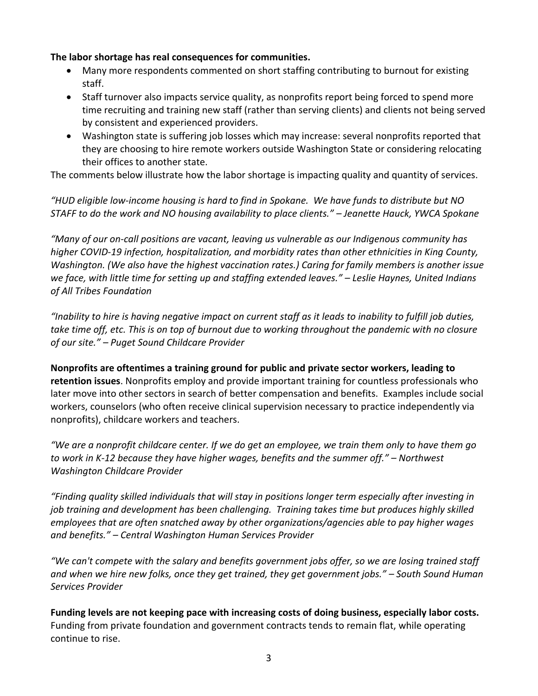## **The labor shortage has real consequences for communities.**

- Many more respondents commented on short staffing contributing to burnout for existing staff.
- Staff turnover also impacts service quality, as nonprofits report being forced to spend more time recruiting and training new staff (rather than serving clients) and clients not being served by consistent and experienced providers.
- Washington state is suffering job losses which may increase: several nonprofits reported that they are choosing to hire remote workers outside Washington State or considering relocating their offices to another state.

The comments below illustrate how the labor shortage is impacting quality and quantity of services.

*"HUD eligible low-income housing is hard to find in Spokane. We have funds to distribute but NO STAFF to do the work and NO housing availability to place clients." – Jeanette Hauck, YWCA Spokane*

*"Many of our on-call positions are vacant, leaving us vulnerable as our Indigenous community has higher COVID-19 infection, hospitalization, and morbidity rates than other ethnicities in King County, Washington. (We also have the highest vaccination rates.) Caring for family members is another issue we face, with little time for setting up and staffing extended leaves." – Leslie Haynes, United Indians of All Tribes Foundation*

*"Inability to hire is having negative impact on current staff as it leads to inability to fulfill job duties, take time off, etc. This is on top of burnout due to working throughout the pandemic with no closure of our site." – Puget Sound Childcare Provider*

**Nonprofits are oftentimes a training ground for public and private sector workers, leading to retention issues**. Nonprofits employ and provide important training for countless professionals who later move into other sectors in search of better compensation and benefits. Examples include social workers, counselors (who often receive clinical supervision necessary to practice independently via nonprofits), childcare workers and teachers.

*"We are a nonprofit childcare center. If we do get an employee, we train them only to have them go to work in K-12 because they have higher wages, benefits and the summer off." – Northwest Washington Childcare Provider*

*"Finding quality skilled individuals that will stay in positions longer term especially after investing in job training and development has been challenging. Training takes time but produces highly skilled employees that are often snatched away by other organizations/agencies able to pay higher wages and benefits." – Central Washington Human Services Provider*

*"We can't compete with the salary and benefits government jobs offer, so we are losing trained staff and when we hire new folks, once they get trained, they get government jobs." – South Sound Human Services Provider*

**Funding levels are not keeping pace with increasing costs of doing business, especially labor costs.** Funding from private foundation and government contracts tends to remain flat, while operating continue to rise.